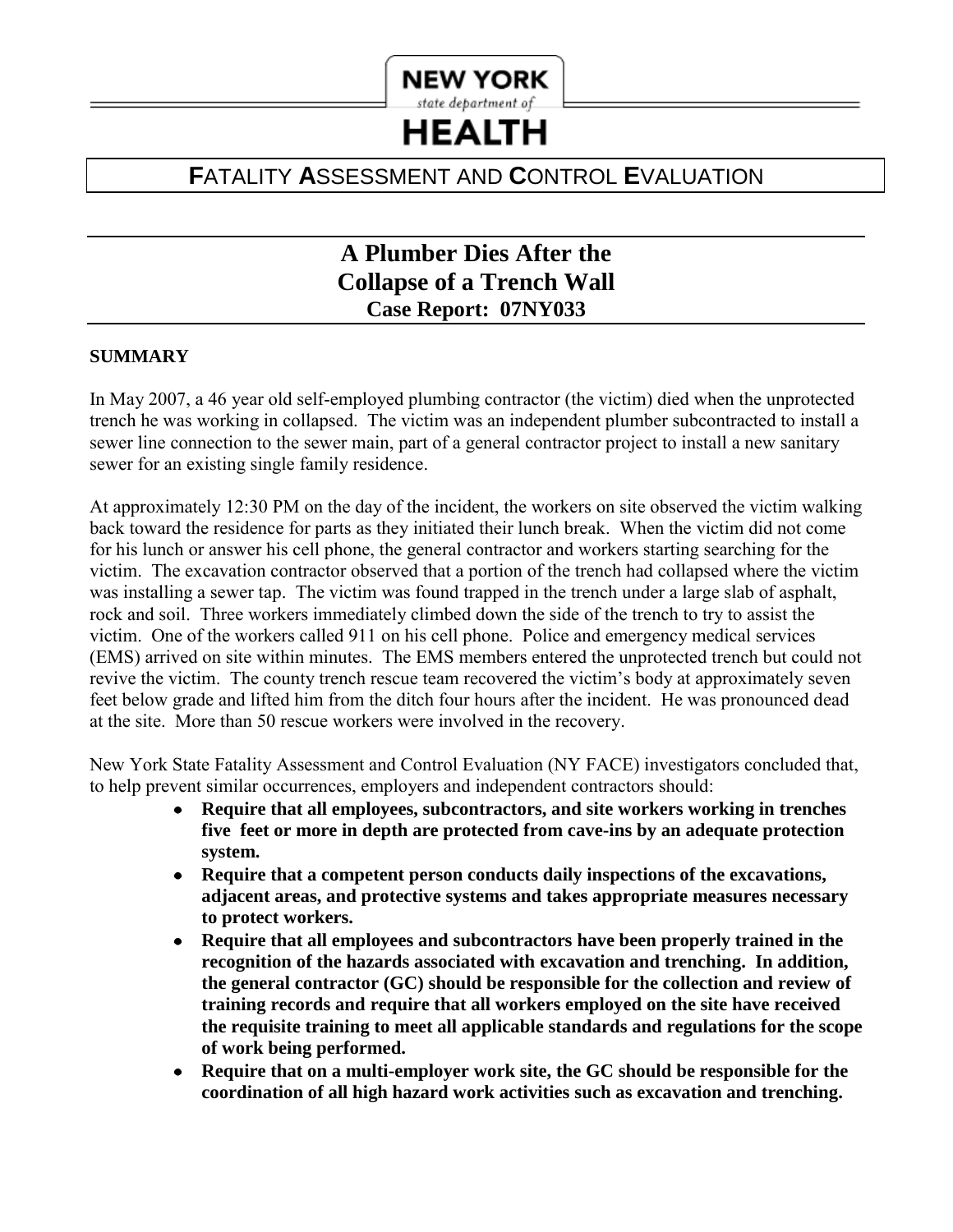# **NEW YORK** state department of

# **HEALTH**

# **F**ATALITY **A**SSESSMENT AND **C**ONTROL **E**VALUATION

# **A Plumber Dies After the Collapse of a Trench Wall Case Report: 07NY033**

# **SUMMARY**

 sewer line connection to the sewer main, part of a general contractor project to install a new sanitary sewer for an existing single family residence. In May 2007, a 46 year old self-employed plumbing contractor (the victim) died when the unprotected trench he was working in collapsed. The victim was an independent plumber subcontracted to install a

 At approximately 12:30 PM on the day of the incident, the workers on site observed the victim walking victim. The excavation contractor observed that a portion of the trench had collapsed where the victim revive the victim. The county trench rescue team recovered the victim's body at approximately seven back toward the residence for parts as they initiated their lunch break. When the victim did not come for his lunch or answer his cell phone, the general contractor and workers starting searching for the was installing a sewer tap. The victim was found trapped in the trench under a large slab of asphalt, rock and soil. Three workers immediately climbed down the side of the trench to try to assist the victim. One of the workers called 911 on his cell phone. Police and emergency medical services (EMS) arrived on site within minutes. The EMS members entered the unprotected trench but could not feet below grade and lifted him from the ditch four hours after the incident. He was pronounced dead at the site. More than 50 rescue workers were involved in the recovery.

New York State Fatality Assessment and Control Evaluation (NY FACE) investigators concluded that, to help prevent similar occurrences, employers and independent contractors should:

- **Require that all employees, subcontractors, and site workers working in trenches**   $\bullet$  **five feet or more in depth are protected from cave-ins by an adequate protection system.**
- **Require that a competent person conducts daily inspections of the excavations,**   $\bullet$ **adjacent areas, and protective systems and takes appropriate measures necessary to protect workers.**
- **Require that all employees and subcontractors have been properly trained in the**   $\bullet$ **recognition of the hazards associated with excavation and trenching. In addition, the general contractor (GC) should be responsible for the collection and review of training records and require that all workers employed on the site have received the requisite training to meet all applicable standards and regulations for the scope of work being performed.**
- **Require that on a multi-employer work site, the GC should be responsible for the coordination of all high hazard work activities such as excavation and trenching.**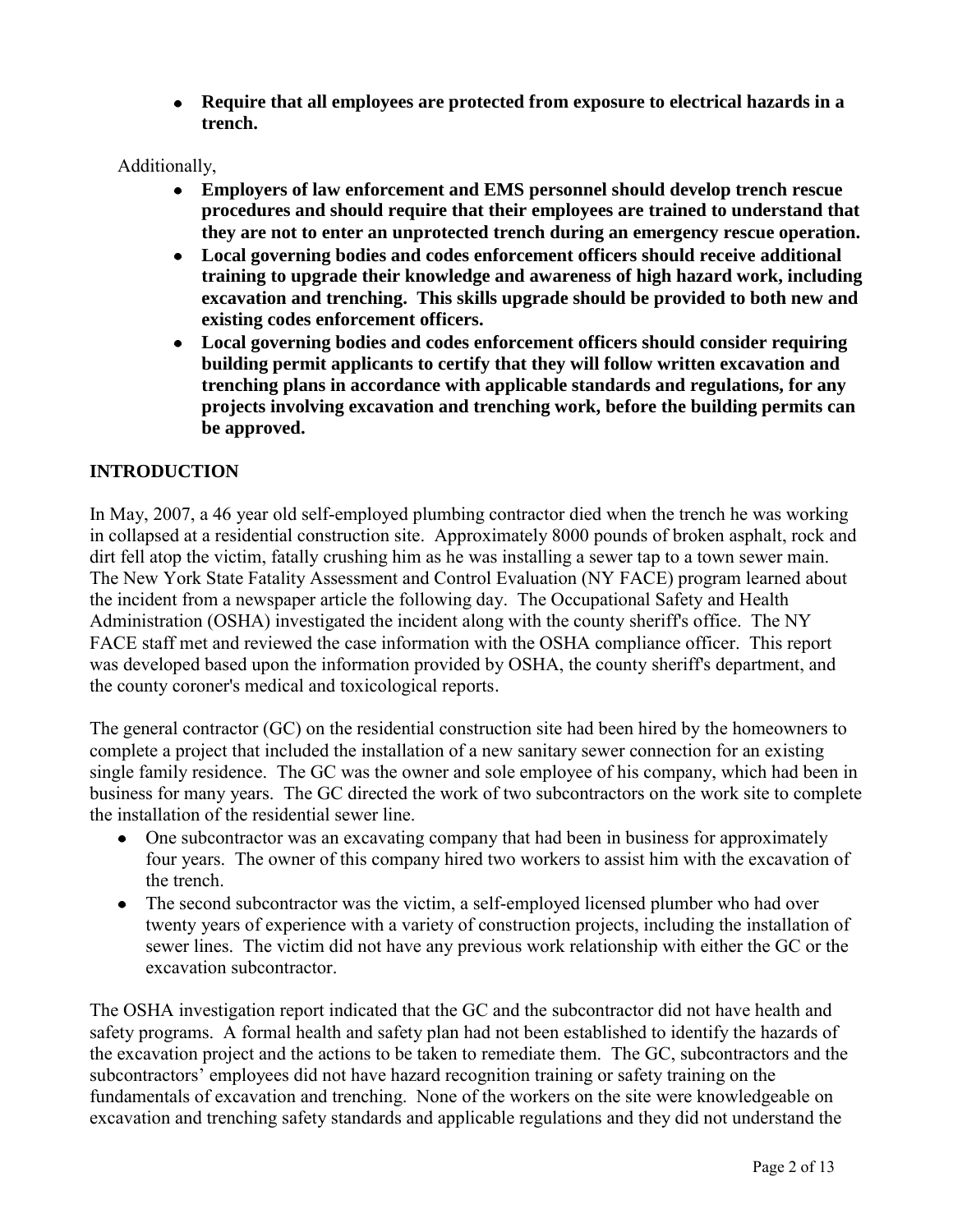**Require that all employees are protected from exposure to electrical hazards in a trench.** 

Additionally,

- $\bullet$ **Employers of law enforcement and EMS personnel should develop trench rescue procedures and should require that their employees are trained to understand that they are not to enter an unprotected trench during an emergency rescue operation.**
- **Local governing bodies and codes enforcement officers should receive additional**   $\bullet$ **training to upgrade their knowledge and awareness of high hazard work, including excavation and trenching. This skills upgrade should be provided to both new and existing codes enforcement officers.**
- **Local governing bodies and codes enforcement officers should consider requiring building permit applicants to certify that they will follow written excavation and trenching plans in accordance with applicable standards and regulations, for any projects involving excavation and trenching work, before the building permits can be approved.**

# **INTRODUCTION**

In May, 2007, a 46 year old self-employed plumbing contractor died when the trench he was working in collapsed at a residential construction site. Approximately 8000 pounds of broken asphalt, rock and dirt fell atop the victim, fatally crushing him as he was installing a sewer tap to a town sewer main. The New York State Fatality Assessment and Control Evaluation (NY FACE) program learned about the incident from a newspaper article the following day. The Occupational Safety and Health Administration (OSHA) investigated the incident along with the county sheriff's office. The NY FACE staff met and reviewed the case information with the OSHA compliance officer. This report was developed based upon the information provided by OSHA, the county sheriff's department, and the county coroner's medical and toxicological reports.

 The general contractor (GC) on the residential construction site had been hired by the homeowners to complete a project that included the installation of a new sanitary sewer connection for an existing single family residence. The GC was the owner and sole employee of his company, which had been in business for many years. The GC directed the work of two subcontractors on the work site to complete the installation of the residential sewer line.

- One subcontractor was an excavating company that had been in business for approximately four years. The owner of this company hired two workers to assist him with the excavation of the trench.
- twenty years of experience with a variety of construction projects, including the installation of sewer lines. The victim did not have any previous work relationship with either the GC or the • The second subcontractor was the victim, a self-employed licensed plumber who had over excavation subcontractor.

 the excavation project and the actions to be taken to remediate them. The GC, subcontractors and the The OSHA investigation report indicated that the GC and the subcontractor did not have health and safety programs. A formal health and safety plan had not been established to identify the hazards of subcontractors' employees did not have hazard recognition training or safety training on the fundamentals of excavation and trenching. None of the workers on the site were knowledgeable on excavation and trenching safety standards and applicable regulations and they did not understand the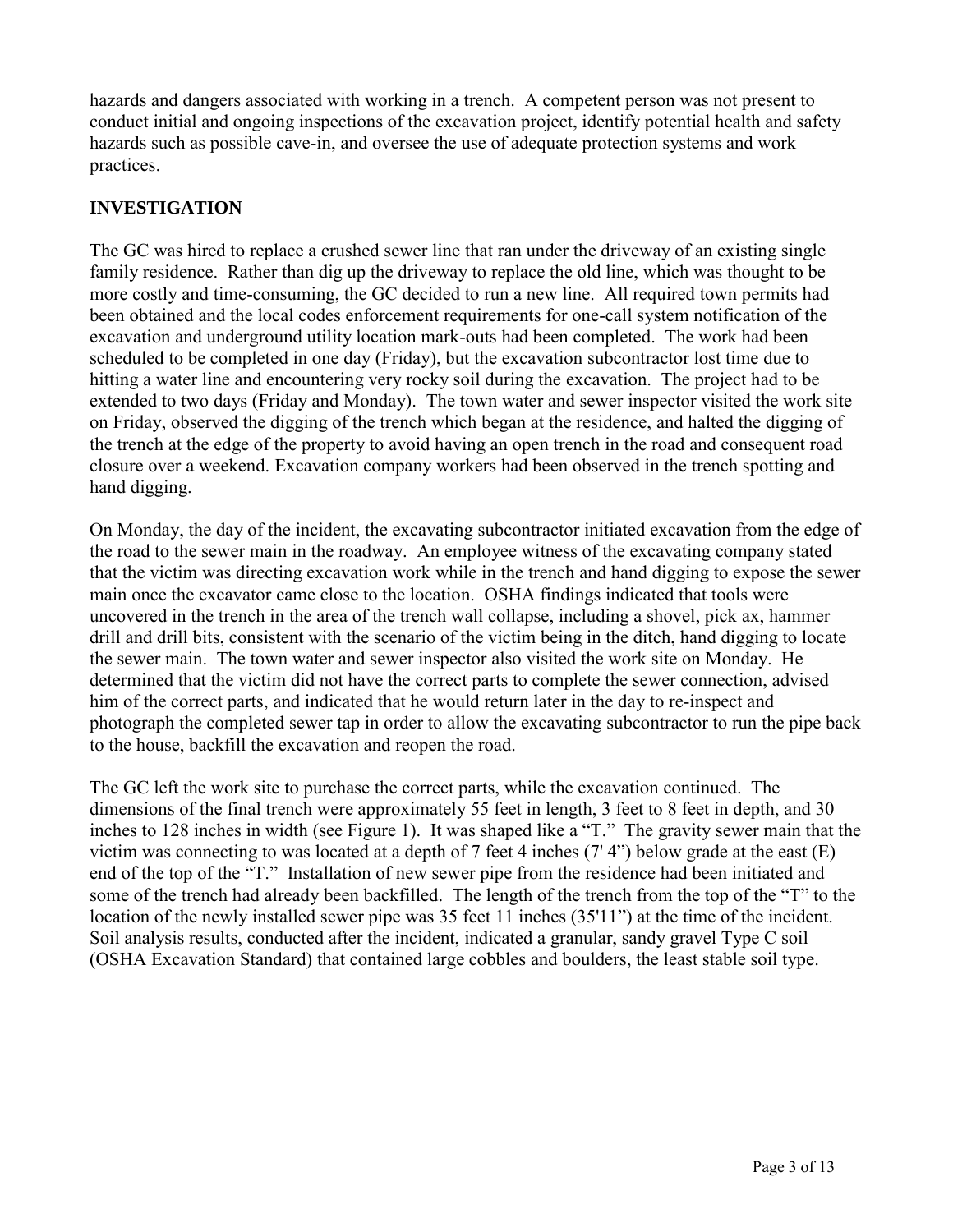hazards and dangers associated with working in a trench. A competent person was not present to conduct initial and ongoing inspections of the excavation project, identify potential health and safety hazards such as possible cave-in, and oversee the use of adequate protection systems and work practices.

# **INVESTIGATION**

 excavation and underground utility location mark-outs had been completed. The work had been hitting a water line and encountering very rocky soil during the excavation. The project had to be the trench at the edge of the property to avoid having an open trench in the road and consequent road hand digging. The GC was hired to replace a crushed sewer line that ran under the driveway of an existing single family residence. Rather than dig up the driveway to replace the old line, which was thought to be more costly and time-consuming, the GC decided to run a new line. All required town permits had been obtained and the local codes enforcement requirements for one-call system notification of the scheduled to be completed in one day (Friday), but the excavation subcontractor lost time due to extended to two days (Friday and Monday). The town water and sewer inspector visited the work site on Friday, observed the digging of the trench which began at the residence, and halted the digging of closure over a weekend. Excavation company workers had been observed in the trench spotting and

 the sewer main. The town water and sewer inspector also visited the work site on Monday. He On Monday, the day of the incident, the excavating subcontractor initiated excavation from the edge of the road to the sewer main in the roadway. An employee witness of the excavating company stated that the victim was directing excavation work while in the trench and hand digging to expose the sewer main once the excavator came close to the location. OSHA findings indicated that tools were uncovered in the trench in the area of the trench wall collapse, including a shovel, pick ax, hammer drill and drill bits, consistent with the scenario of the victim being in the ditch, hand digging to locate determined that the victim did not have the correct parts to complete the sewer connection, advised him of the correct parts, and indicated that he would return later in the day to re-inspect and photograph the completed sewer tap in order to allow the excavating subcontractor to run the pipe back to the house, backfill the excavation and reopen the road.

 inches to 128 inches in width (see Figure 1). It was shaped like a "T." The gravity sewer main that the end of the top of the "T." Installation of new sewer pipe from the residence had been initiated and location of the newly installed sewer pipe was 35 feet 11 inches (35'11") at the time of the incident. The GC left the work site to purchase the correct parts, while the excavation continued. The dimensions of the final trench were approximately 55 feet in length, 3 feet to 8 feet in depth, and 30 victim was connecting to was located at a depth of 7 feet 4 inches (7' 4") below grade at the east (E) some of the trench had already been backfilled. The length of the trench from the top of the "T" to the Soil analysis results, conducted after the incident, indicated a granular, sandy gravel Type C soil (OSHA Excavation Standard) that contained large cobbles and boulders, the least stable soil type.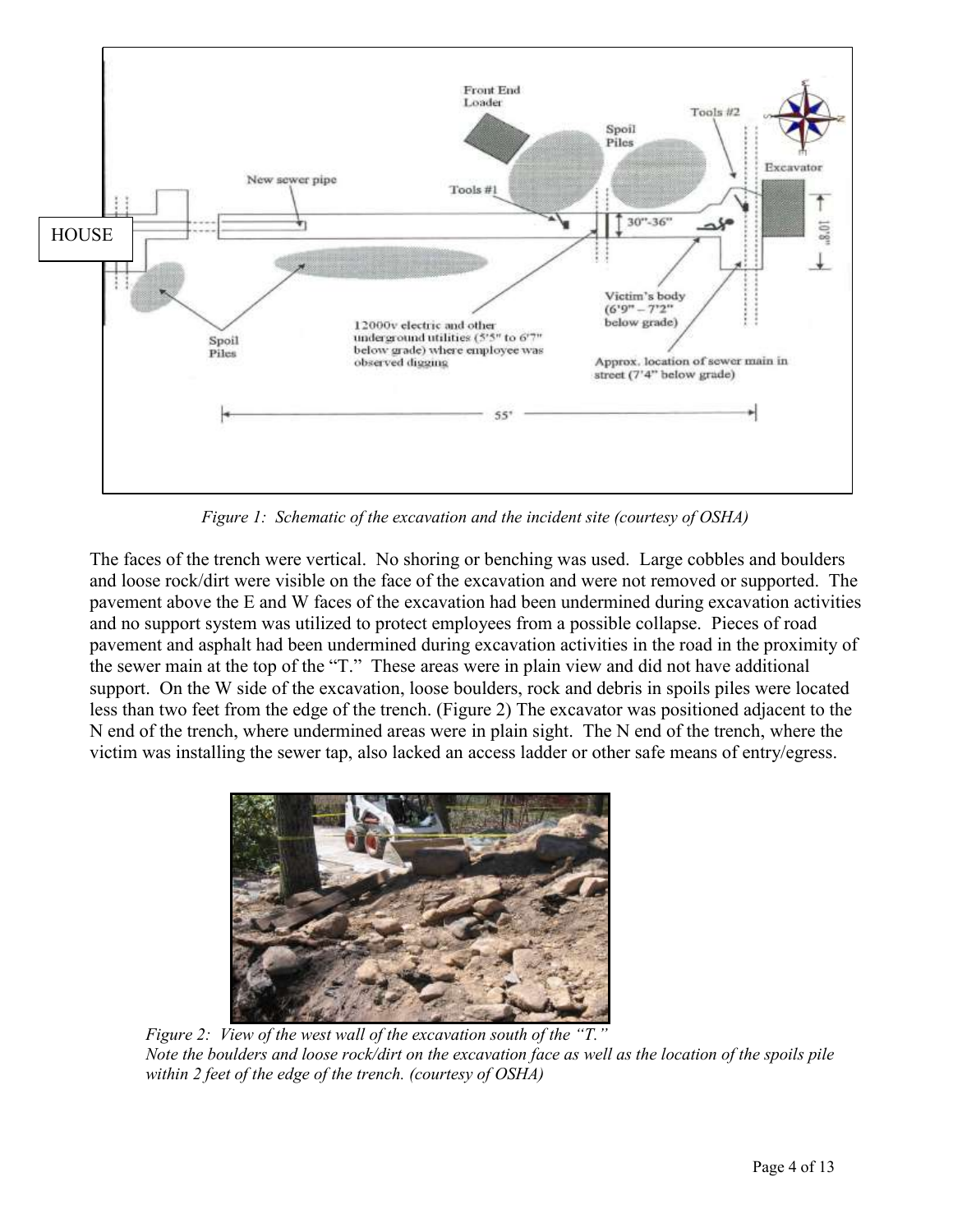

 *Figure 1: Schematic of the excavation and the incident site (courtesy of OSHA)* 

 and loose rock/dirt were visible on the face of the excavation and were not removed or supported. The pavement and asphalt had been undermined during excavation activities in the road in the proximity of the sewer main at the top of the "T." These areas were in plain view and did not have additional less than two feet from the edge of the trench. (Figure 2) The excavator was positioned adjacent to the victim was installing the sewer tap, also lacked an access ladder or other safe means of entry/egress. The faces of the trench were vertical. No shoring or benching was used. Large cobbles and boulders pavement above the E and W faces of the excavation had been undermined during excavation activities and no support system was utilized to protect employees from a possible collapse. Pieces of road support. On the W side of the excavation, loose boulders, rock and debris in spoils piles were located N end of the trench, where undermined areas were in plain sight. The N end of the trench, where the



 *Figure 2: View of the west wall of the excavation south of the "T." Note the boulders and loose rock/dirt on the excavation face as well as the location of the spoils pile within 2 feet of the edge of the trench. (courtesy of OSHA)*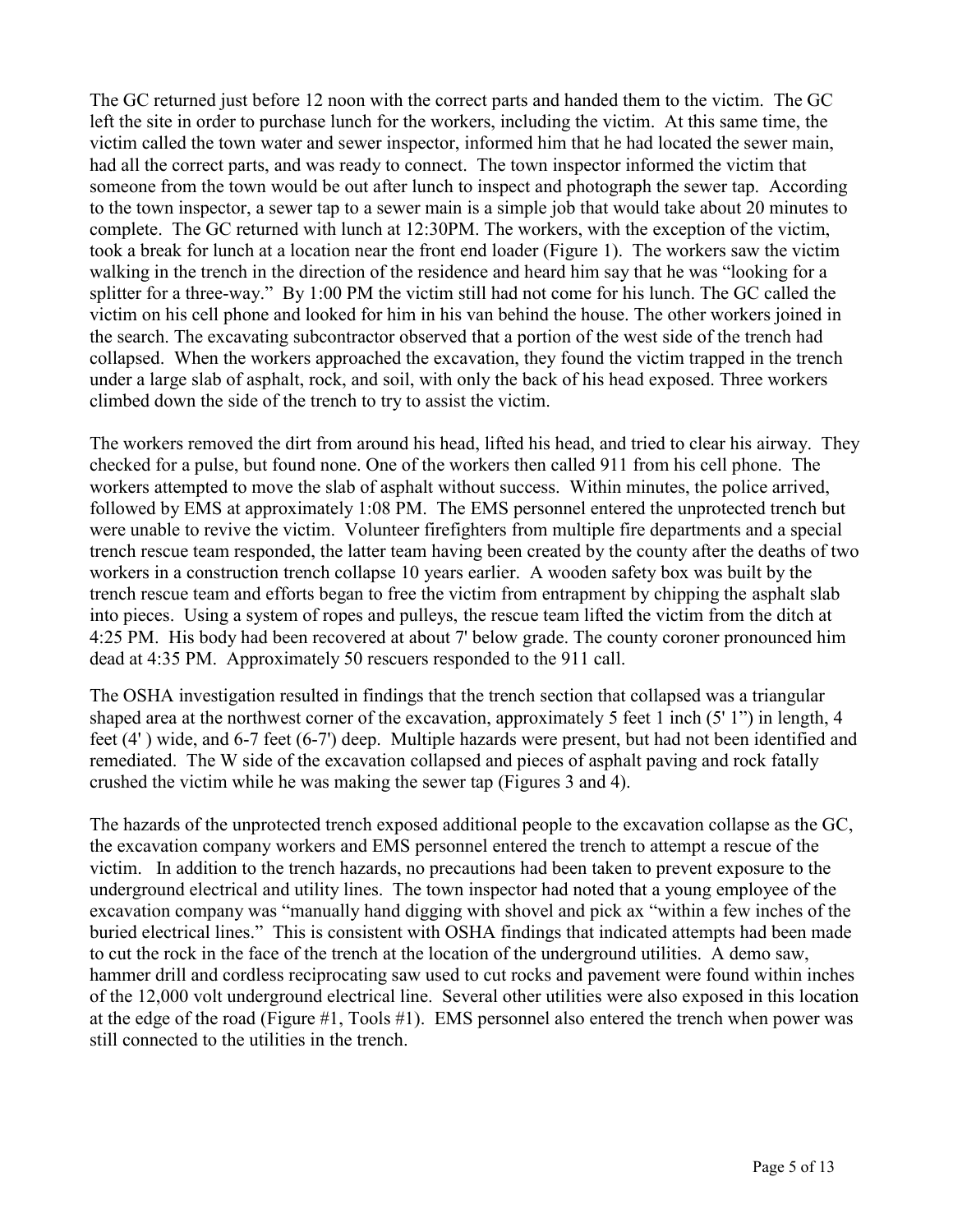complete. The GC returned with lunch at 12:30PM. The workers, with the exception of the victim, The GC returned just before 12 noon with the correct parts and handed them to the victim. The GC left the site in order to purchase lunch for the workers, including the victim. At this same time, the victim called the town water and sewer inspector, informed him that he had located the sewer main, had all the correct parts, and was ready to connect. The town inspector informed the victim that someone from the town would be out after lunch to inspect and photograph the sewer tap. According to the town inspector, a sewer tap to a sewer main is a simple job that would take about 20 minutes to took a break for lunch at a location near the front end loader (Figure 1). The workers saw the victim walking in the trench in the direction of the residence and heard him say that he was "looking for a splitter for a three-way." By 1:00 PM the victim still had not come for his lunch. The GC called the victim on his cell phone and looked for him in his van behind the house. The other workers joined in the search. The excavating subcontractor observed that a portion of the west side of the trench had collapsed. When the workers approached the excavation, they found the victim trapped in the trench under a large slab of asphalt, rock, and soil, with only the back of his head exposed. Three workers climbed down the side of the trench to try to assist the victim.

 into pieces. Using a system of ropes and pulleys, the rescue team lifted the victim from the ditch at The workers removed the dirt from around his head, lifted his head, and tried to clear his airway. They checked for a pulse, but found none. One of the workers then called 911 from his cell phone. The workers attempted to move the slab of asphalt without success. Within minutes, the police arrived, followed by EMS at approximately 1:08 PM. The EMS personnel entered the unprotected trench but were unable to revive the victim. Volunteer firefighters from multiple fire departments and a special trench rescue team responded, the latter team having been created by the county after the deaths of two workers in a construction trench collapse 10 years earlier. A wooden safety box was built by the trench rescue team and efforts began to free the victim from entrapment by chipping the asphalt slab 4:25 PM. His body had been recovered at about 7' below grade. The county coroner pronounced him dead at 4:35 PM. Approximately 50 rescuers responded to the 911 call.

The OSHA investigation resulted in findings that the trench section that collapsed was a triangular feet (4' ) wide, and 6-7 feet (6-7') deep. Multiple hazards were present, but had not been identified and crushed the victim while he was making the sewer tap (Figures 3 and 4). shaped area at the northwest corner of the excavation, approximately 5 feet 1 inch (5' 1") in length, 4 remediated. The W side of the excavation collapsed and pieces of asphalt paving and rock fatally

 underground electrical and utility lines. The town inspector had noted that a young employee of the buried electrical lines." This is consistent with OSHA findings that indicated attempts had been made The hazards of the unprotected trench exposed additional people to the excavation collapse as the GC, the excavation company workers and EMS personnel entered the trench to attempt a rescue of the victim. In addition to the trench hazards, no precautions had been taken to prevent exposure to the excavation company was "manually hand digging with shovel and pick ax "within a few inches of the to cut the rock in the face of the trench at the location of the underground utilities. A demo saw, hammer drill and cordless reciprocating saw used to cut rocks and pavement were found within inches of the 12,000 volt underground electrical line. Several other utilities were also exposed in this location at the edge of the road (Figure #1, Tools #1). EMS personnel also entered the trench when power was still connected to the utilities in the trench.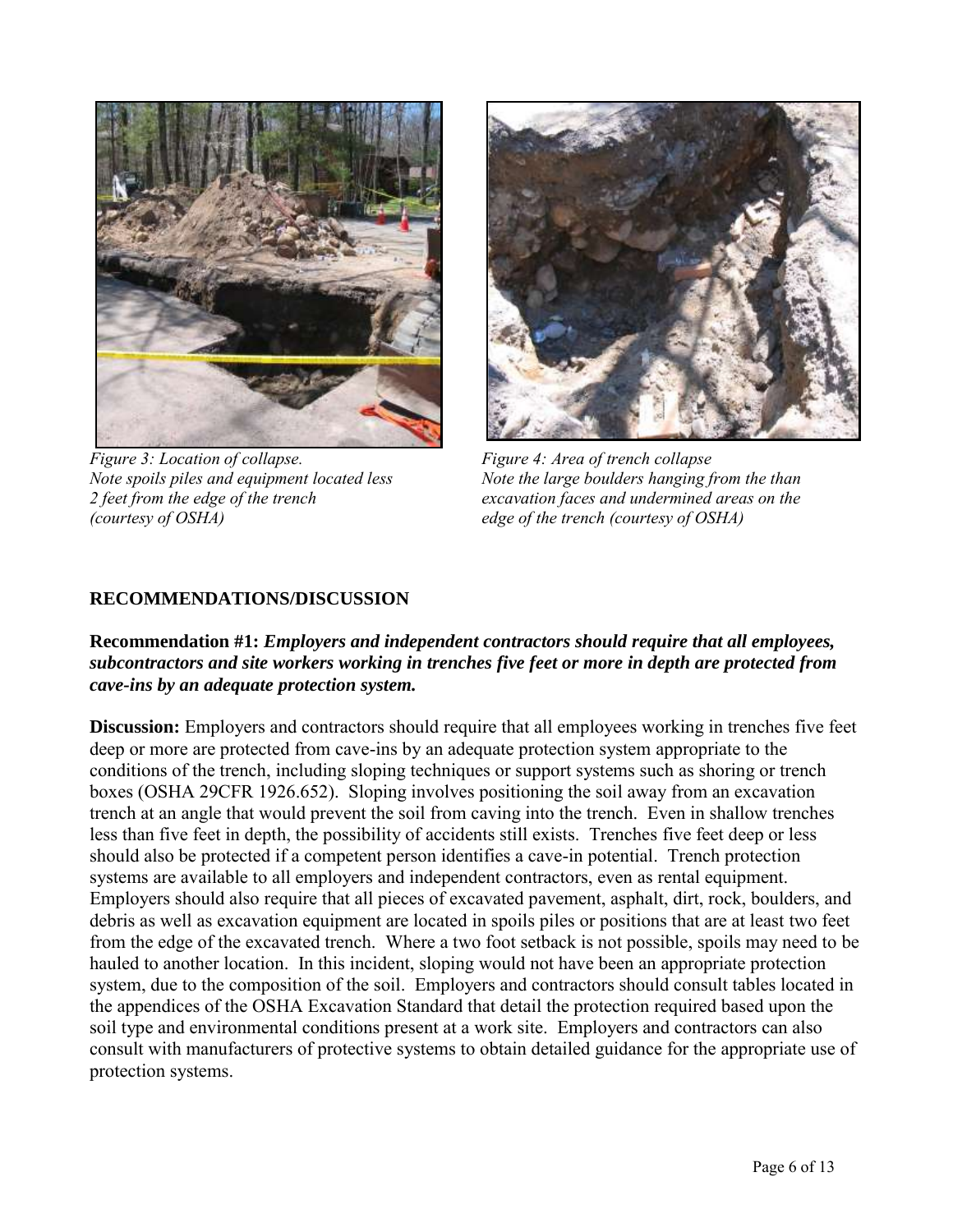

*Figure 3: Location of collapse. Note spoils piles and equipment located less (courtesy of OSHA) edge of the trench (courtesy of OSHA)* 



*Figure 4: Area of trench collapse. Note the large boulders hanging from the than 2 feet from the edge of the trench excavation faces and undermined areas on the* 

# **RECOMMENDATIONS/DISCUSSION**

# **Recommendation #1:** *Employers and independent contractors should require that all employees, subcontractors and site workers working in trenches five feet or more in depth are protected from cave-ins by an adequate protection system.*

 from the edge of the excavated trench. Where a two foot setback is not possible, spoils may need to be hauled to another location. In this incident, sloping would not have been an appropriate protection **Discussion:** Employers and contractors should require that all employees working in trenches five feet deep or more are protected from cave-ins by an adequate protection system appropriate to the conditions of the trench, including sloping techniques or support systems such as shoring or trench boxes (OSHA 29CFR 1926.652). Sloping involves positioning the soil away from an excavation trench at an angle that would prevent the soil from caving into the trench. Even in shallow trenches less than five feet in depth, the possibility of accidents still exists. Trenches five feet deep or less should also be protected if a competent person identifies a cave-in potential. Trench protection systems are available to all employers and independent contractors, even as rental equipment. Employers should also require that all pieces of excavated pavement, asphalt, dirt, rock, boulders, and debris as well as excavation equipment are located in spoils piles or positions that are at least two feet system, due to the composition of the soil. Employers and contractors should consult tables located in the appendices of the OSHA Excavation Standard that detail the protection required based upon the soil type and environmental conditions present at a work site. Employers and contractors can also consult with manufacturers of protective systems to obtain detailed guidance for the appropriate use of protection systems.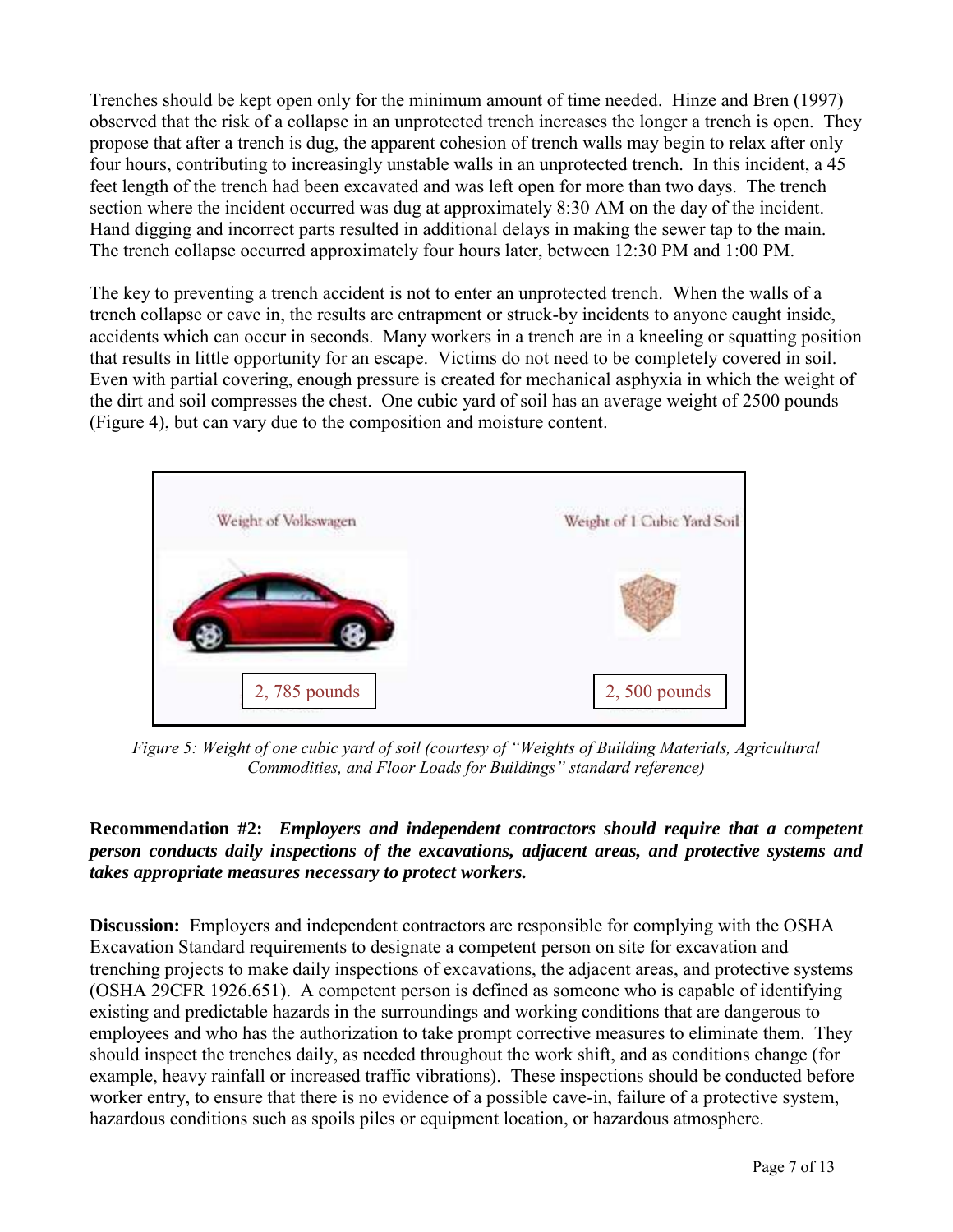Trenches should be kept open only for the minimum amount of time needed. Hinze and Bren (1997) feet length of the trench had been excavated and was left open for more than two days. The trench section where the incident occurred was dug at approximately 8:30 AM on the day of the incident. The trench collapse occurred approximately four hours later, between 12:30 PM and 1:00 PM. observed that the risk of a collapse in an unprotected trench increases the longer a trench is open. They propose that after a trench is dug, the apparent cohesion of trench walls may begin to relax after only four hours, contributing to increasingly unstable walls in an unprotected trench. In this incident, a 45 Hand digging and incorrect parts resulted in additional delays in making the sewer tap to the main.

 The key to preventing a trench accident is not to enter an unprotected trench. When the walls of a the dirt and soil compresses the chest. One cubic yard of soil has an average weight of 2500 pounds trench collapse or cave in, the results are entrapment or struck-by incidents to anyone caught inside, accidents which can occur in seconds. Many workers in a trench are in a kneeling or squatting position that results in little opportunity for an escape. Victims do not need to be completely covered in soil. Even with partial covering, enough pressure is created for mechanical asphyxia in which the weight of (Figure 4), but can vary due to the composition and moisture content.



 *Figure 5: Weight of one cubic yard of soil (courtesy of "Weights of Building Materials, Agricultural Commodities, and Floor Loads for Buildings" standard reference)*

#### **Recommendation #2:** *Employers and independent contractors should require that a competent person conducts daily inspections of the excavations, adjacent areas, and protective systems and takes appropriate measures necessary to protect workers.*

 **Discussion:** Employers and independent contractors are responsible for complying with the OSHA trenching projects to make daily inspections of excavations, the adjacent areas, and protective systems (OSHA 29CFR 1926.651). A competent person is defined as someone who is capable of identifying should inspect the trenches daily, as needed throughout the work shift, and as conditions change (for Excavation Standard requirements to designate a competent person on site for excavation and existing and predictable hazards in the surroundings and working conditions that are dangerous to employees and who has the authorization to take prompt corrective measures to eliminate them. They example, heavy rainfall or increased traffic vibrations). These inspections should be conducted before worker entry, to ensure that there is no evidence of a possible cave-in, failure of a protective system, hazardous conditions such as spoils piles or equipment location, or hazardous atmosphere.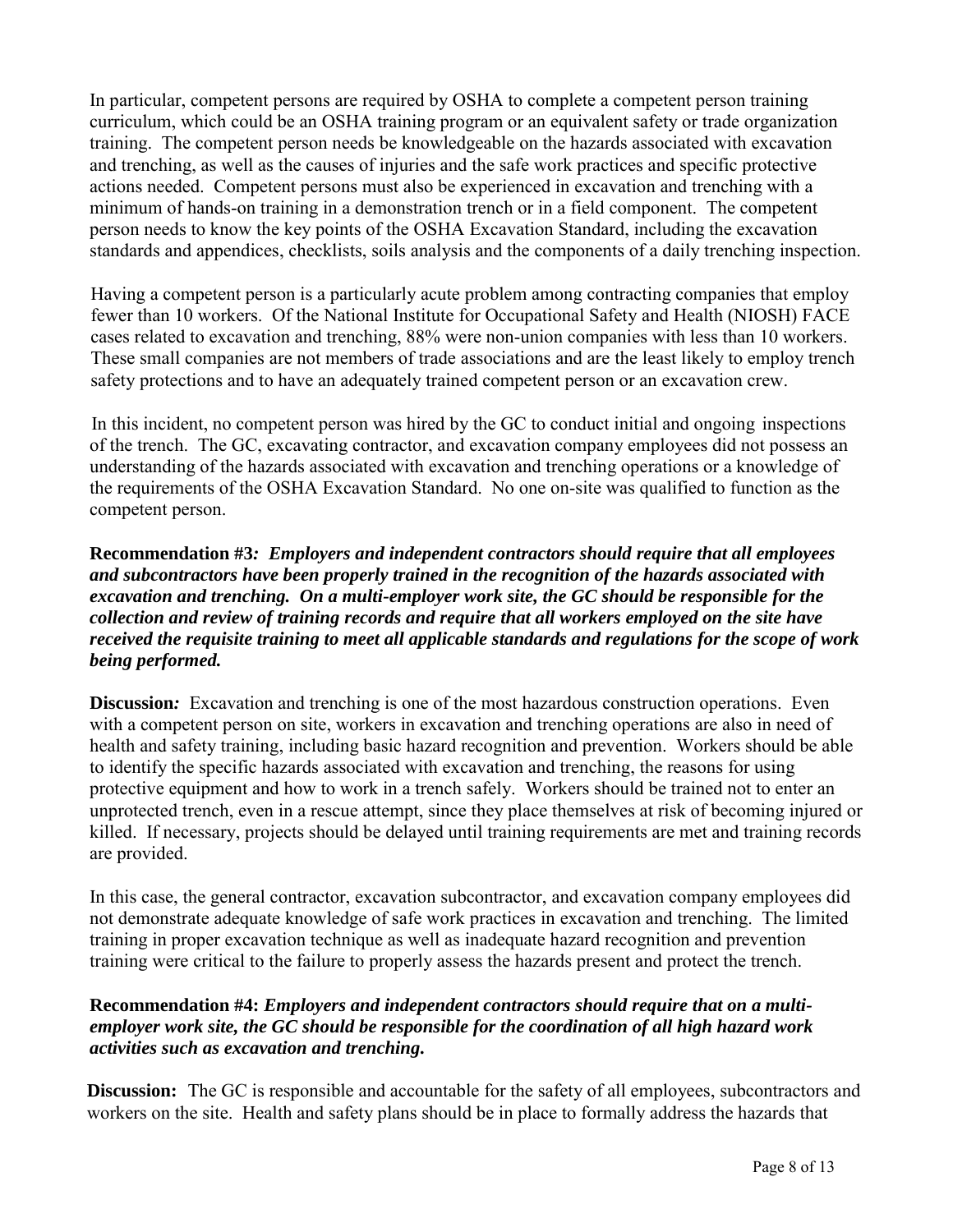In particular, competent persons are required by OSHA to complete a competent person training minimum of hands-on training in a demonstration trench or in a field component. The competent curriculum, which could be an OSHA training program or an equivalent safety or trade organization training. The competent person needs be knowledgeable on the hazards associated with excavation and trenching, as well as the causes of injuries and the safe work practices and specific protective actions needed. Competent persons must also be experienced in excavation and trenching with a person needs to know the key points of the OSHA Excavation Standard, including the excavation standards and appendices, checklists, soils analysis and the components of a daily trenching inspection.

Having a competent person is a particularly acute problem among contracting companies that employ fewer than 10 workers. Of the National Institute for Occupational Safety and Health (NIOSH) FACE cases related to excavation and trenching, 88% were non-union companies with less than 10 workers. These small companies are not members of trade associations and are the least likely to employ trench safety protections and to have an adequately trained competent person or an excavation crew.

 In this incident, no competent person was hired by the GC to conduct initial and ongoing inspections of the trench. The GC, excavating contractor, and excavation company employees did not possess an understanding of the hazards associated with excavation and trenching operations or a knowledge of the requirements of the OSHA Excavation Standard. No one on-site was qualified to function as the competent person.

 *and subcontractors have been properly trained in the recognition of the hazards associated with excavation and trenching. On a multi-employer work site, the GC should be responsible for the*  **Recommendation #3***: Employers and independent contractors should require that all employees collection and review of training records and require that all workers employed on the site have received the requisite training to meet all applicable standards and regulations for the scope of work being performed.* 

 killed. If necessary, projects should be delayed until training requirements are met and training records are provided. **Discussion:** Excavation and trenching is one of the most hazardous construction operations. Even with a competent person on site, workers in excavation and trenching operations are also in need of health and safety training, including basic hazard recognition and prevention. Workers should be able to identify the specific hazards associated with excavation and trenching, the reasons for using protective equipment and how to work in a trench safely. Workers should be trained not to enter an unprotected trench, even in a rescue attempt, since they place themselves at risk of becoming injured or

 not demonstrate adequate knowledge of safe work practices in excavation and trenching. The limited training were critical to the failure to properly assess the hazards present and protect the trench. In this case, the general contractor, excavation subcontractor, and excavation company employees did training in proper excavation technique as well as inadequate hazard recognition and prevention

# Recommendation #4: *Employers and independent contractors should require that on a multi- employer work site, the GC should be responsible for the coordination of all high hazard work activities such as excavation and trenching.*

 **Discussion:** The GC is responsible and accountable for the safety of all employees, subcontractors and workers on the site. Health and safety plans should be in place to formally address the hazards that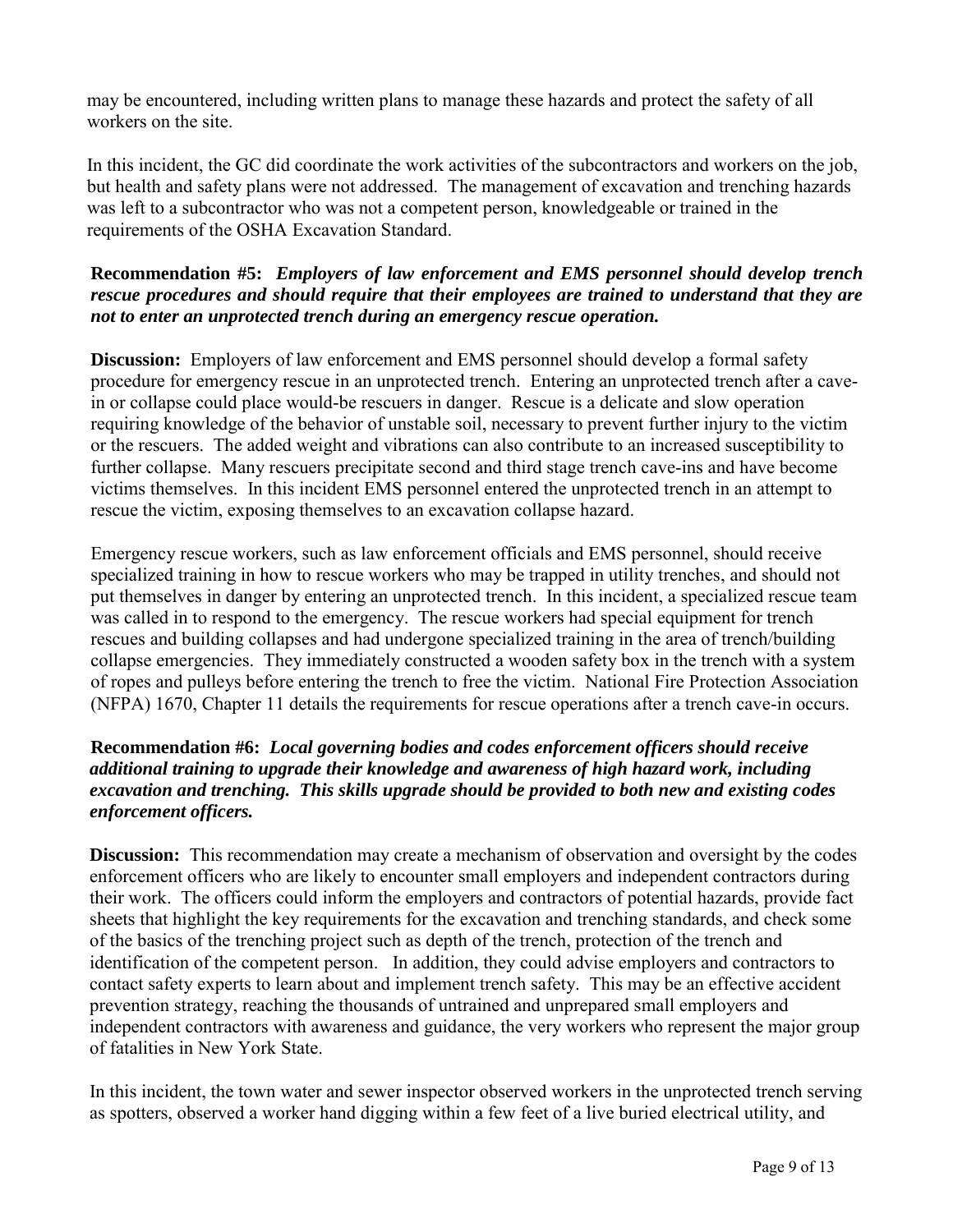may be encountered, including written plans to manage these hazards and protect the safety of all workers on the site.

 requirements of the OSHA Excavation Standard. In this incident, the GC did coordinate the work activities of the subcontractors and workers on the job, but health and safety plans were not addressed. The management of excavation and trenching hazards was left to a subcontractor who was not a competent person, knowledgeable or trained in the

# **Recommendation #5:** *Employers of law enforcement and EMS personnel should develop trench rescue procedures and should require that their employees are trained to understand that they are not to enter an unprotected trench during an emergency rescue operation.*

**Discussion:** Employers of law enforcement and EMS personnel should develop a formal safety procedure for emergency rescue in an unprotected trench. Entering an unprotected trench after a cavein or collapse could place would-be rescuers in danger. Rescue is a delicate and slow operation requiring knowledge of the behavior of unstable soil, necessary to prevent further injury to the victim or the rescuers. The added weight and vibrations can also contribute to an increased susceptibility to further collapse. Many rescuers precipitate second and third stage trench cave-ins and have become victims themselves. In this incident EMS personnel entered the unprotected trench in an attempt to rescue the victim, exposing themselves to an excavation collapse hazard.

 put themselves in danger by entering an unprotected trench. In this incident, a specialized rescue team of ropes and pulleys before entering the trench to free the victim. National Fire Protection Association Emergency rescue workers, such as law enforcement officials and EMS personnel, should receive specialized training in how to rescue workers who may be trapped in utility trenches, and should not was called in to respond to the emergency. The rescue workers had special equipment for trench rescues and building collapses and had undergone specialized training in the area of trench/building collapse emergencies. They immediately constructed a wooden safety box in the trench with a system (NFPA) 1670, Chapter 11 details the requirements for rescue operations after a trench cave-in occurs.

# **Recommendation #6:** *Local governing bodies and codes enforcement officers should receive additional training to upgrade their knowledge and awareness of high hazard work, including excavation and trenching. This skills upgrade should be provided to both new and existing codes enforcement officers.*

**Discussion:** This recommendation may create a mechanism of observation and oversight by the codes contact safety experts to learn about and implement trench safety. This may be an effective accident enforcement officers who are likely to encounter small employers and independent contractors during their work. The officers could inform the employers and contractors of potential hazards, provide fact sheets that highlight the key requirements for the excavation and trenching standards, and check some of the basics of the trenching project such as depth of the trench, protection of the trench and identification of the competent person. In addition, they could advise employers and contractors to prevention strategy, reaching the thousands of untrained and unprepared small employers and independent contractors with awareness and guidance, the very workers who represent the major group of fatalities in New York State.

In this incident, the town water and sewer inspector observed workers in the unprotected trench serving as spotters, observed a worker hand digging within a few feet of a live buried electrical utility, and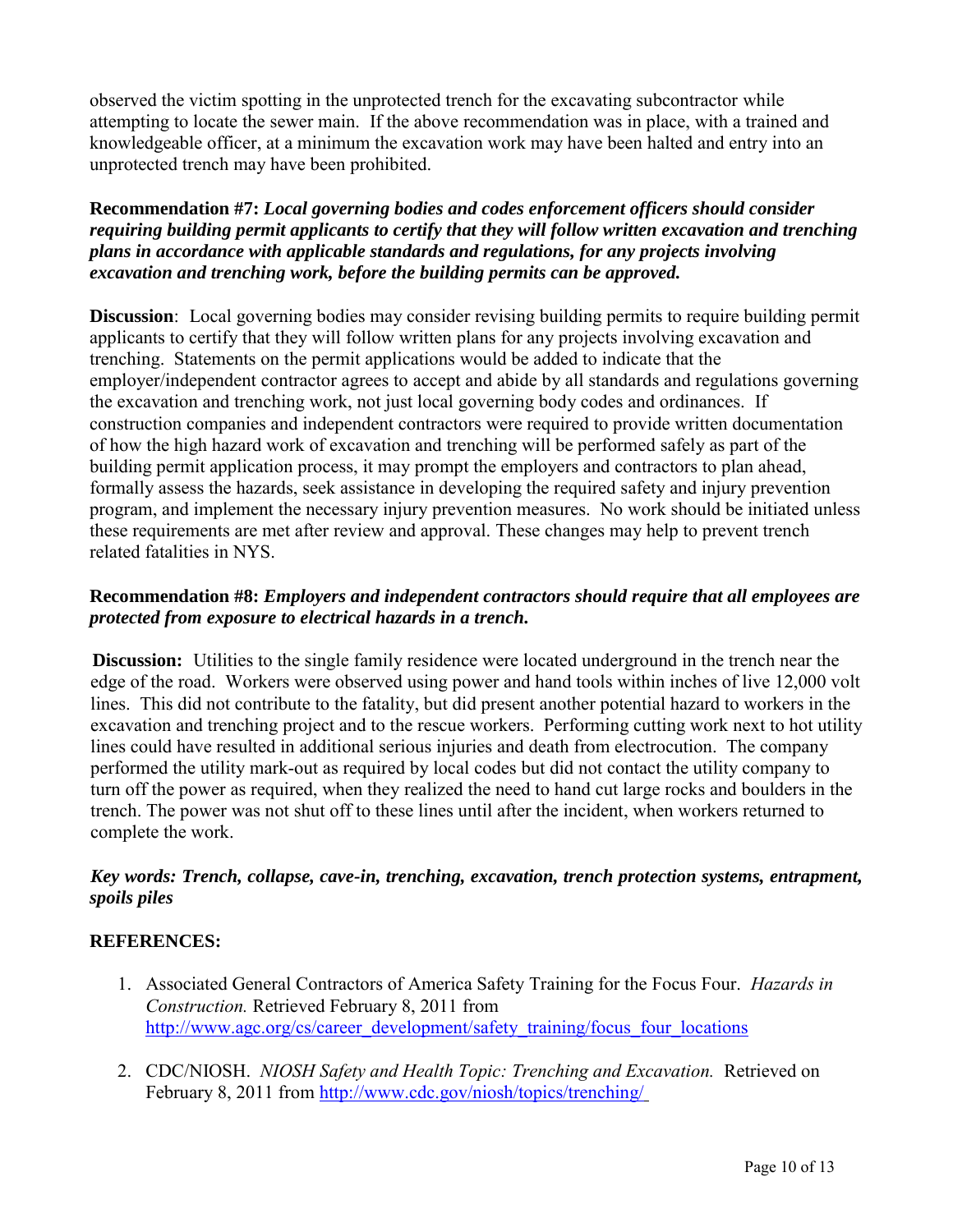observed the victim spotting in the unprotected trench for the excavating subcontractor while attempting to locate the sewer main. If the above recommendation was in place, with a trained and knowledgeable officer, at a minimum the excavation work may have been halted and entry into an unprotected trench may have been prohibited.

#### **Recommendation #7:** *Local governing bodies and codes enforcement officers should consider requiring building permit applicants to certify that they will follow written excavation and trenching plans in accordance with applicable standards and regulations, for any projects involving excavation and trenching work, before the building permits can be approved.*

 **Discussion**: Local governing bodies may consider revising building permits to require building permit employer/independent contractor agrees to accept and abide by all standards and regulations governing applicants to certify that they will follow written plans for any projects involving excavation and trenching. Statements on the permit applications would be added to indicate that the the excavation and trenching work, not just local governing body codes and ordinances. If construction companies and independent contractors were required to provide written documentation of how the high hazard work of excavation and trenching will be performed safely as part of the building permit application process, it may prompt the employers and contractors to plan ahead, formally assess the hazards, seek assistance in developing the required safety and injury prevention program, and implement the necessary injury prevention measures. No work should be initiated unless these requirements are met after review and approval. These changes may help to prevent trench related fatalities in NYS.

# *protected from exposure to electrical hazards in a trench.*  **Recommendation #8:** *Employers and independent contractors should require that all employees are*

**Discussion:** Utilities to the single family residence were located underground in the trench near the edge of the road. Workers were observed using power and hand tools within inches of live 12,000 volt lines. This did not contribute to the fatality, but did present another potential hazard to workers in the excavation and trenching project and to the rescue workers. Performing cutting work next to hot utility lines could have resulted in additional serious injuries and death from electrocution. The company performed the utility mark-out as required by local codes but did not contact the utility company to turn off the power as required, when they realized the need to hand cut large rocks and boulders in the trench. The power was not shut off to these lines until after the incident, when workers returned to complete the work.

# *Key words: Trench, collapse, cave-in, trenching, excavation, trench protection systems, entrapment, spoils piles*

# **REFERENCES:**

- 1. Associated General Contractors of America Safety Training for the Focus Four. *Hazards in* http://www.agc.org/cs/career development/safety training/focus four locations *Construction.* Retrieved February 8, 2011 from
- February 8, 2011 from http://www.cdc.gov/niosh/topics/trenching/<br>Page 10 of 13 2. CDC/NIOSH. *NIOSH Safety and Health Topic: Trenching and Excavation.* Retrieved on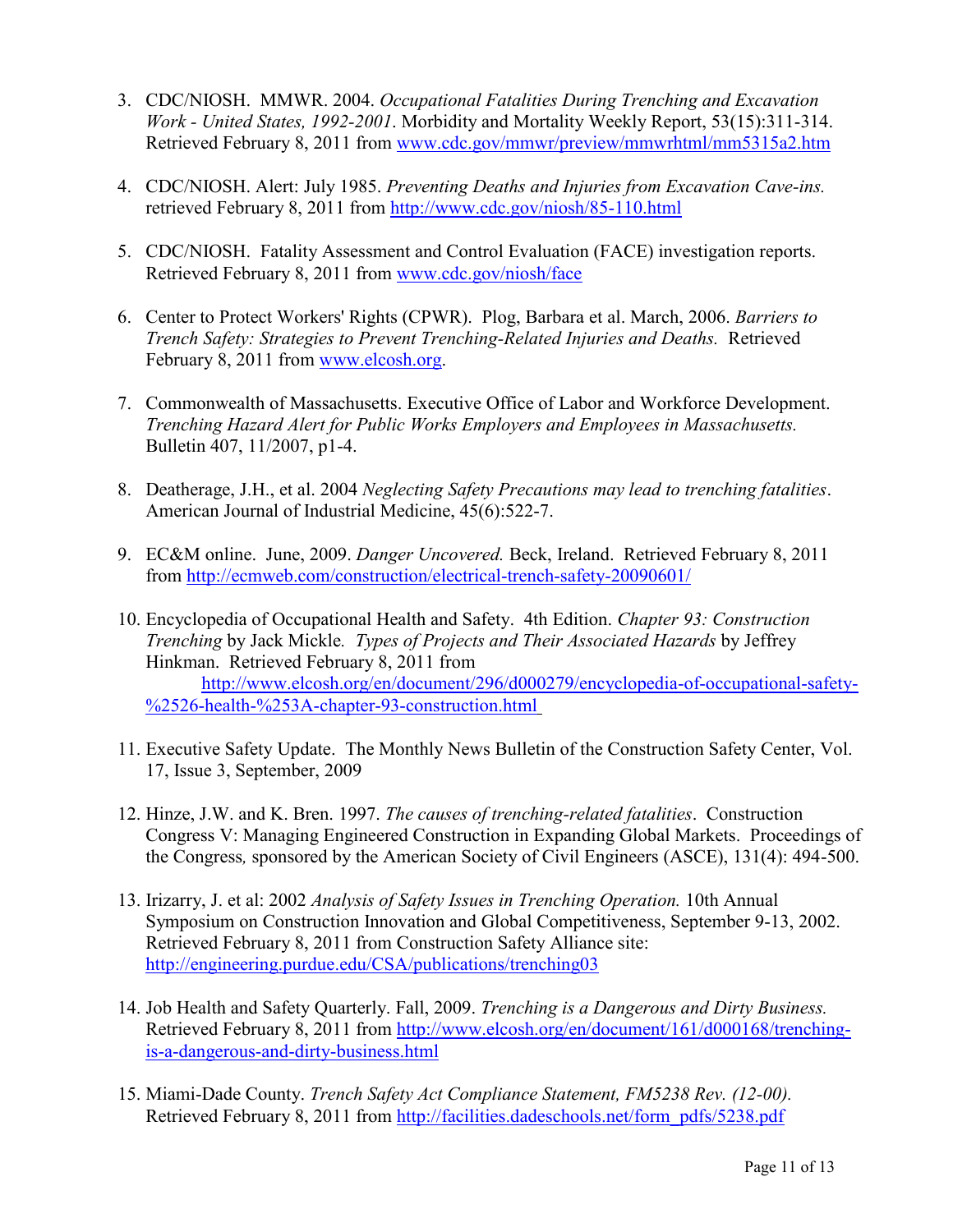- *Work United States, 1992-2001*. Morbidity and Mortality Weekly Report, 53(15):311-314. Retrieved February 8, 2011 from www.cdc.gov/mmwr/preview/mmwrhtml/mm5315a2.htm 3. CDC/NIOSH. MMWR. 2004. *Occupational Fatalities During Trenching and Excavation*
- retrieved February 8, 2011 from http://www.cdc.gov/niosh/85-110.html 4. CDC/NIOSH. Alert: July 1985. Preventing Deaths and Injuries from Excavation Cave-ins.
- Retrieved February 8, 2011 from www.cdc.gov/niosh/face 5. CDC/NIOSH. Fatality Assessment and Control Evaluation (FACE) investigation reports.
- *Trench Safety: Strategies to Prevent Trenching-Related Injuries and Deaths.* Retrieved February 8, 2011 from www.elcosh.org. 6. Center to Protect Workers' Rights (CPWR). Plog, Barbara et al. March, 2006. *Barriers to*
- 7. Commonwealth of Massachusetts. Executive Office of Labor and Workforce Development. *Trenching Hazard Alert for Public Works Employers and Employees in Massachusetts.*  Bulletin 407, 11/2007, p1-4.
- American Journal of Industrial Medicine, 45(6):522-7. 8. Deatherage, J.H., et al. 2004 *Neglecting Safety Precautions may lead to trenching fatalities*.
- *American Journal of Industrial Medicine, 45(6):522-7.*<br>9. EC&M online. June, 2009. *Danger Uncovered*. Beck, Ireland. Retrieved February 8, 2011 from http://ecmweb.com/construction/electrical-trench-safety-20090601/
- %2526-health-%253A-chapter-93-construction.html from<http://ecmweb.com/construction/electrical-trench-safety-20090601/>10. Encyclopedia of Occupational Health and Safety. 4th Edition. *Chapter 93: Construction Trenching* by Jack Mickle*. Types of Projects and Their Associated Hazards* by Jeffrey Hinkman. Retrieved February 8, 2011 from [http://www.elcosh.org/en/document/296/d000279/encyclopedia-of-occupational-safety-](http://www.elcosh.org/en/document/296/d000279/encyclopedia-of-occupational-safety-%2526-health-%253A-chapter-93-construction.html)
- %2526-health-%253A-chapter-93-construction.html<br>11. Executive Safety Update. The Monthly News Bulletin of the Construction Safety Center, Vol. 17, Issue 3, September, 2009
- 12. Hinze, J.W. and K. Bren. 1997. *The causes of trenching-related fatalities*. Construction Congress V: Managing Engineered Construction in Expanding Global Markets. Proceedings of the Congress*,* sponsored by the American Society of Civil Engineers (ASCE), 131(4): 494-500.
- http://engineering.purdue.edu/CSA/publications/trenching03 13. Irizarry, J. et al: 2002 *Analysis of Safety Issues in Trenching Operation.* 10th Annual Symposium on Construction Innovation and Global Competitiveness, September 9-13, 2002. Retrieved February 8, 2011 from Construction Safety Alliance site:
- is-a-dangerous-and-dirty-business.html 14. Job Health and Safety Quarterly. Fall, 2009. *Trenching is a Dangerous and Dirty Business.* Retrieved February 8, 2011 from [http://www.elcosh.org/en/document/161/d000168/trenching-](http://www.elcosh.org/en/document/161/d000168/trenching-is-a-dangerous-and-dirty-business.html)
- Retrieved February 8, 2011 from [http://facilities.dadeschools.net/form\\_pdfs/5238.pdf](http://facilities.dadeschools.net/form_pdfs/5238.pdf) Page 11 of 13 15. Miami-Dade County. *Trench Safety Act Compliance Statement, FM5238 Rev. (12-00).*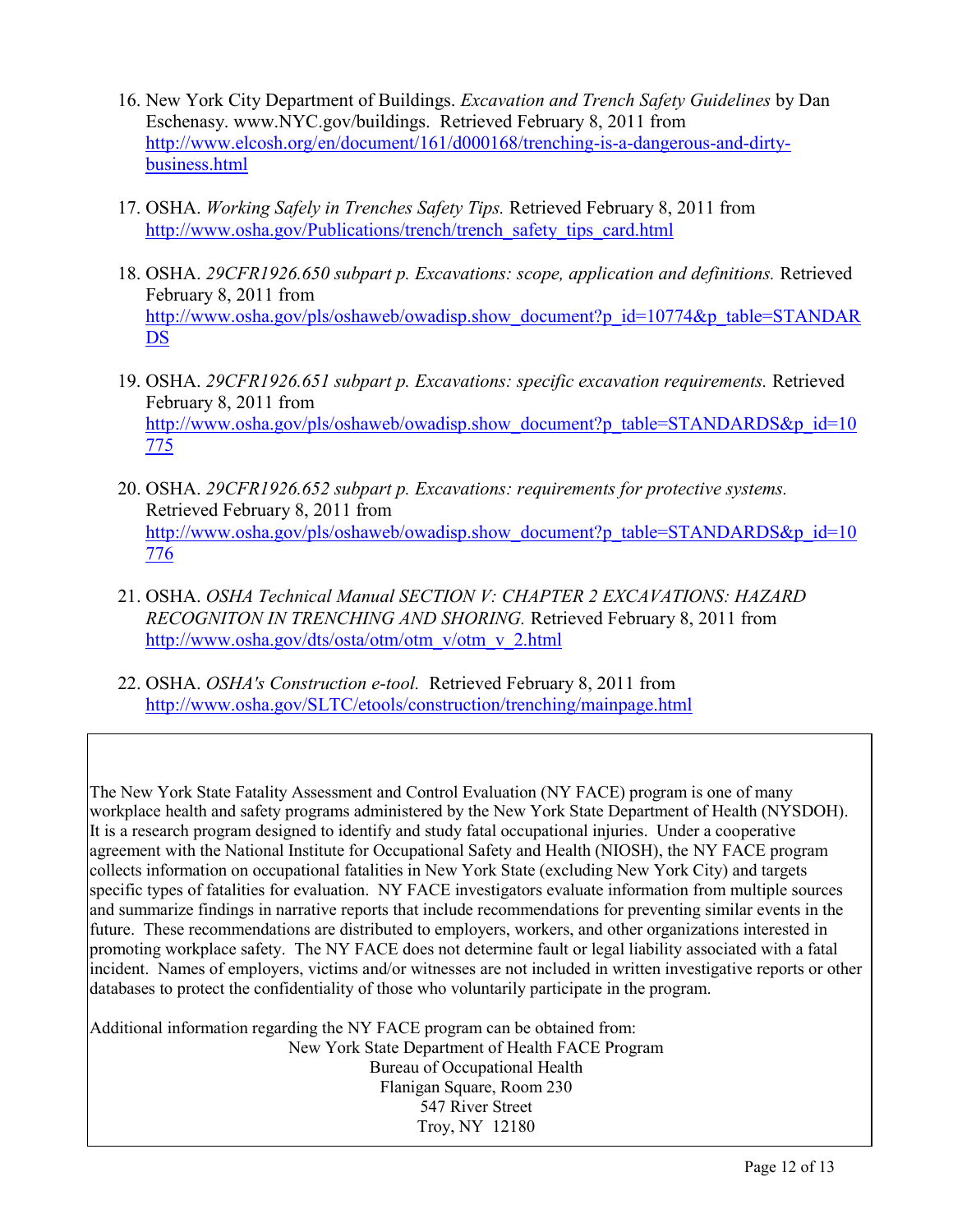- business.html 16. New York City Department of Buildings. *Excavation and Trench Safety Guidelines* by Dan Eschenasy. www.NYC.gov/buildings. Retrieved February 8, 2011 from [http://www.elcosh.org/en/document/161/d000168/trenching-is-a-dangerous-and-dirty-](http://www.elcosh.org/en/document/161/d000168/trenching-is-a-dangerous-and-dirty-business.html)
- http://www.osha.gov/Publications/trench/trench safety tips card.html [business.html](http://www.elcosh.org/en/document/161/d000168/trenching-is-a-dangerous-and-dirty-business.html) 17. OSHA. *Working Safely in Trenches Safety Tips.* Retrieved February 8, 2011 from
- DS http://www.osha.aspf.edublications/trench/trench/trench/trench/trench/trench/trench/trench/trench/trench/trench<br>metabolisafety.html 18. OSHA. 29CFR1926.650 subpart p. Excavations: scope, application and definitions. Retrie February 8, 2011 from http://www.osha.gov/pls/oshaweb/owadisp.show\_document?p\_id=10774&p\_table=STANDAR
- February 8, 2011 from 775 [DS](http://www.osha.gov/pls/oshaweb/owadisp.show_document?p_id=10774&p_table=STANDARDS) 19. OSHA. *29CFR1926.651 subpart p. Excavations: specific excavation requirements.* Retrieved http://www.osha.gov/pls/oshaweb/owadisp.show\_document?p\_table=STANDARDS&p\_id=10
- Retrieved February 8, 2011 from 776 20. OSHA. 29CFR1926.652 subpart p. Excavations: requirements for protective systems. http://www.osha.gov/pls/oshaweb/owadisp.show\_document?p\_table=STANDARDS&p\_id=10
- http://www.osha.gov/dts/osta/otm/otm\_v/otm\_v\_2.html [776](http://www.osha.gov/pls/oshaweb/owadisp.show_document?p_table=STANDARDS&p_id=10776) 21. OSHA. *OSHA Technical Manual SECTION V: CHAPTER 2 EXCAVATIONS: HAZARD RECOGNITON IN TRENCHING AND SHORING.* Retrieved February 8, 2011 from
- http://www.osha.gov/SLTC/etools/construction/trenching/mainpage.html 22. OSHA. *OSHA's Construction e-tool.* Retrieved February 8, 2011 from

 promoting workplace safety. The NY FACE does not determine fault or legal liability associated with a fatal databases to protect the confidentiality of those who voluntarily participate in the program. The New York State Fatality Assessment and Control Evaluation (NY FACE) program is one of many workplace health and safety programs administered by the New York State Department of Health (NYSDOH). It is a research program designed to identify and study fatal occupational injuries. Under a cooperative agreement with the National Institute for Occupational Safety and Health (NIOSH), the NY FACE program collects information on occupational fatalities in New York State (excluding New York City) and targets specific types of fatalities for evaluation. NY FACE investigators evaluate information from multiple sources and summarize findings in narrative reports that include recommendations for preventing similar events in the future. These recommendations are distributed to employers, workers, and other organizations interested in incident. Names of employers, victims and/or witnesses are not included in written investigative reports or other

Additional information regarding the NY FACE program can be obtained from: New York State Department of Health FACE Program Bureau of Occupational Health Flanigan Square, Room 230 547 River Street Troy, NY 12180